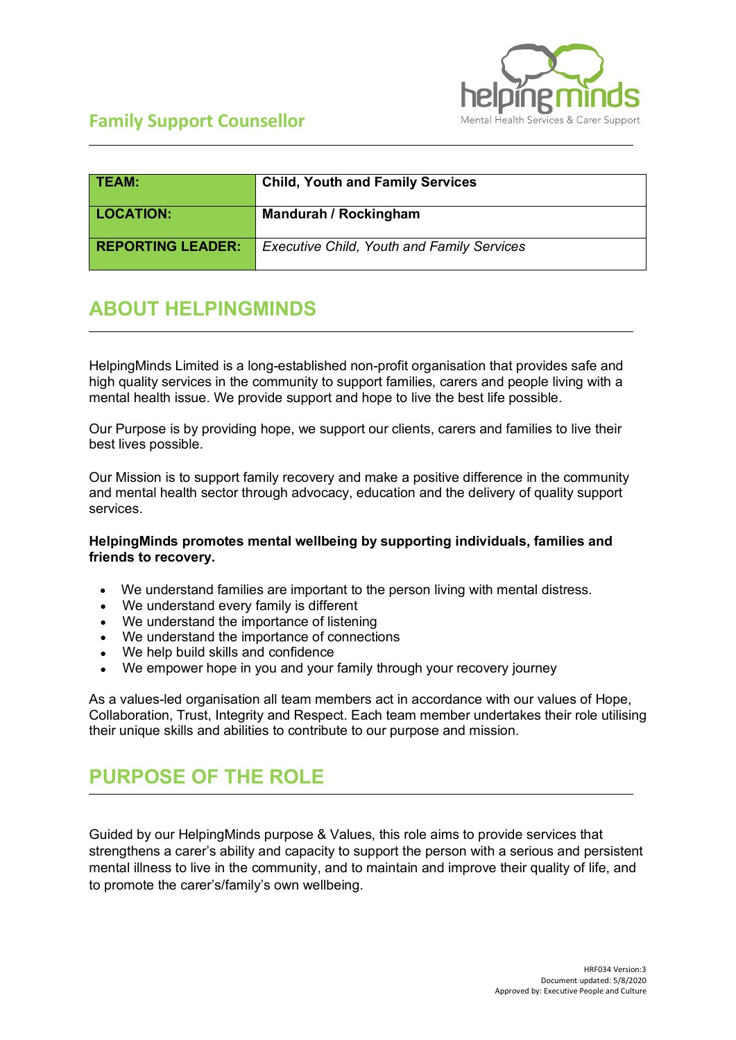

| <b>TEAM:</b>             | <b>Child, Youth and Family Services</b>           |  |  |
|--------------------------|---------------------------------------------------|--|--|
| <b>LOCATION:</b>         | Mandurah / Rockingham                             |  |  |
| <b>REPORTING LEADER:</b> | <b>Executive Child, Youth and Family Services</b> |  |  |

## **ABOUT HELPINGMINDS**

HelpingMinds Limited is a long-established non-profit organisation that provides safe and high quality services in the community to support families, carers and people living with a mental health issue. We provide support and hope to live the best life possible.

Our Purpose is by providing hope, we support our clients, carers and families to live their best lives possible.

Our Mission is to support family recovery and make a positive difference in the community and mental health sector through advocacy, education and the delivery of quality support services.

#### **HelpingMinds promotes mental wellbeing by supporting individuals, families and friends to recovery.**

- We understand families are important to the person living with mental distress.
- We understand every family is different
- We understand the importance of listening
- We understand the importance of connections
- We help build skills and confidence
- We empower hope in you and your family through your recovery journey

As a values-led organisation all team members act in accordance with our values of Hope, Collaboration, Trust, Integrity and Respect. Each team member undertakes their role utilising their unique skills and abilities to contribute to our purpose and mission.

## **PURPOSE OF THE ROLE**

Guided by our HelpingMinds purpose & Values, this role aims to provide services that strengthens a carer's ability and capacity to support the person with a serious and persistent mental illness to live in the community, and to maintain and improve their quality of life, and to promote the carer's/family's own wellbeing.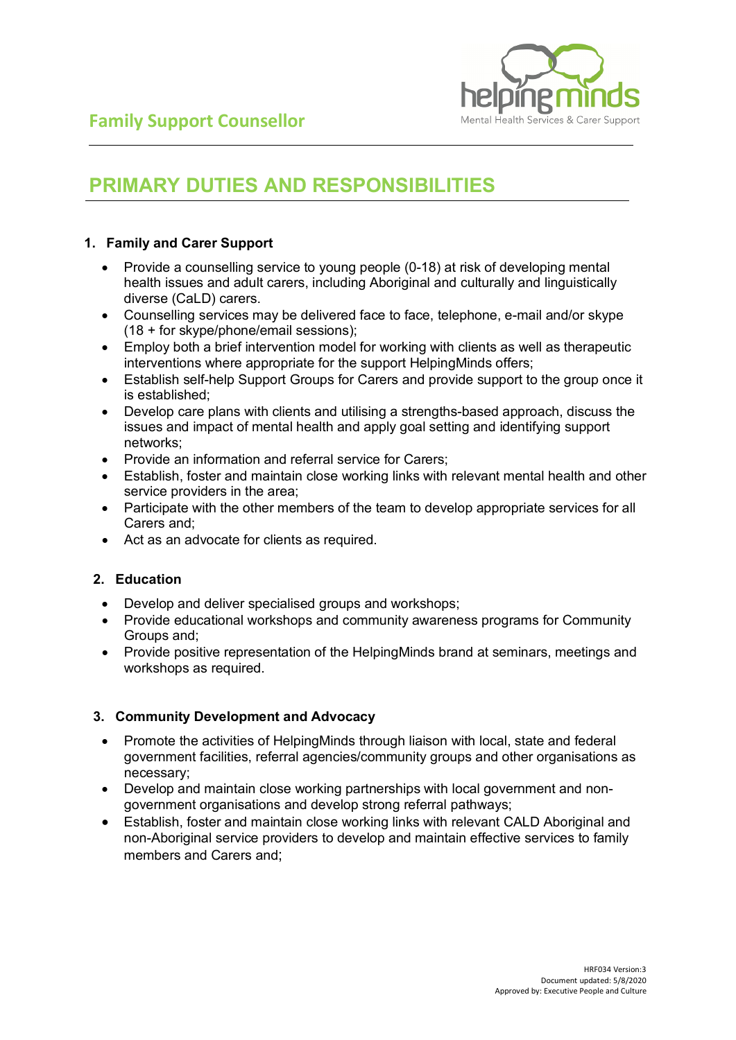

## **PRIMARY DUTIES AND RESPONSIBILITIES**

#### **1. Family and Carer Support**

- Provide a counselling service to young people (0-18) at risk of developing mental health issues and adult carers, including Aboriginal and culturally and linguistically diverse (CaLD) carers.
- Counselling services may be delivered face to face, telephone, e-mail and/or skype (18 + for skype/phone/email sessions);
- Employ both a brief intervention model for working with clients as well as therapeutic interventions where appropriate for the support HelpingMinds offers;
- Establish self-help Support Groups for Carers and provide support to the group once it is established;
- Develop care plans with clients and utilising a strengths-based approach, discuss the issues and impact of mental health and apply goal setting and identifying support networks;
- Provide an information and referral service for Carers;
- Establish, foster and maintain close working links with relevant mental health and other service providers in the area;
- Participate with the other members of the team to develop appropriate services for all Carers and;
- Act as an advocate for clients as required.

#### **2. Education**

- Develop and deliver specialised groups and workshops;
- Provide educational workshops and community awareness programs for Community Groups and;
- Provide positive representation of the HelpingMinds brand at seminars, meetings and workshops as required.

#### **3. Community Development and Advocacy**

- Promote the activities of HelpingMinds through liaison with local, state and federal government facilities, referral agencies/community groups and other organisations as necessary;
- Develop and maintain close working partnerships with local government and nongovernment organisations and develop strong referral pathways;
- Establish, foster and maintain close working links with relevant CALD Aboriginal and non-Aboriginal service providers to develop and maintain effective services to family members and Carers and;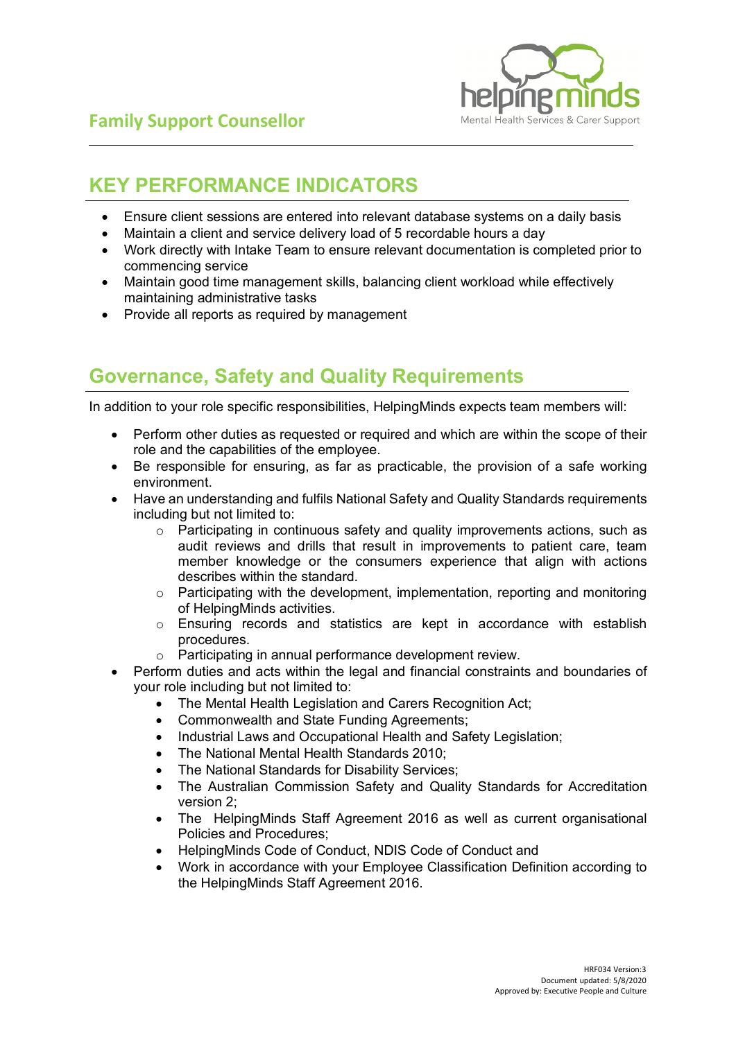

## **KEY PERFORMANCE INDICATORS**

- Ensure client sessions are entered into relevant database systems on a daily basis
- Maintain a client and service delivery load of 5 recordable hours a day
- Work directly with Intake Team to ensure relevant documentation is completed prior to commencing service
- Maintain good time management skills, balancing client workload while effectively maintaining administrative tasks
- Provide all reports as required by management

### **Governance, Safety and Quality Requirements**

In addition to your role specific responsibilities, HelpingMinds expects team members will:

- Perform other duties as requested or required and which are within the scope of their role and the capabilities of the employee.
- Be responsible for ensuring, as far as practicable, the provision of a safe working environment.
- Have an understanding and fulfils National Safety and Quality Standards requirements including but not limited to:
	- o Participating in continuous safety and quality improvements actions, such as audit reviews and drills that result in improvements to patient care, team member knowledge or the consumers experience that align with actions describes within the standard.
	- $\circ$  Participating with the development, implementation, reporting and monitoring of HelpingMinds activities.
	- o Ensuring records and statistics are kept in accordance with establish procedures.
	- o Participating in annual performance development review.
- Perform duties and acts within the legal and financial constraints and boundaries of your role including but not limited to:
	- The Mental Health Legislation and Carers Recognition Act;
	- Commonwealth and State Funding Agreements;
	- Industrial Laws and Occupational Health and Safety Legislation;
	- The National Mental Health Standards 2010;
	- The National Standards for Disability Services:
	- The Australian Commission Safety and Quality Standards for Accreditation version 2;
	- The HelpingMinds Staff Agreement 2016 as well as current organisational Policies and Procedures;
	- HelpingMinds Code of Conduct, NDIS Code of Conduct and
	- Work in accordance with your Employee Classification Definition according to the HelpingMinds Staff Agreement 2016.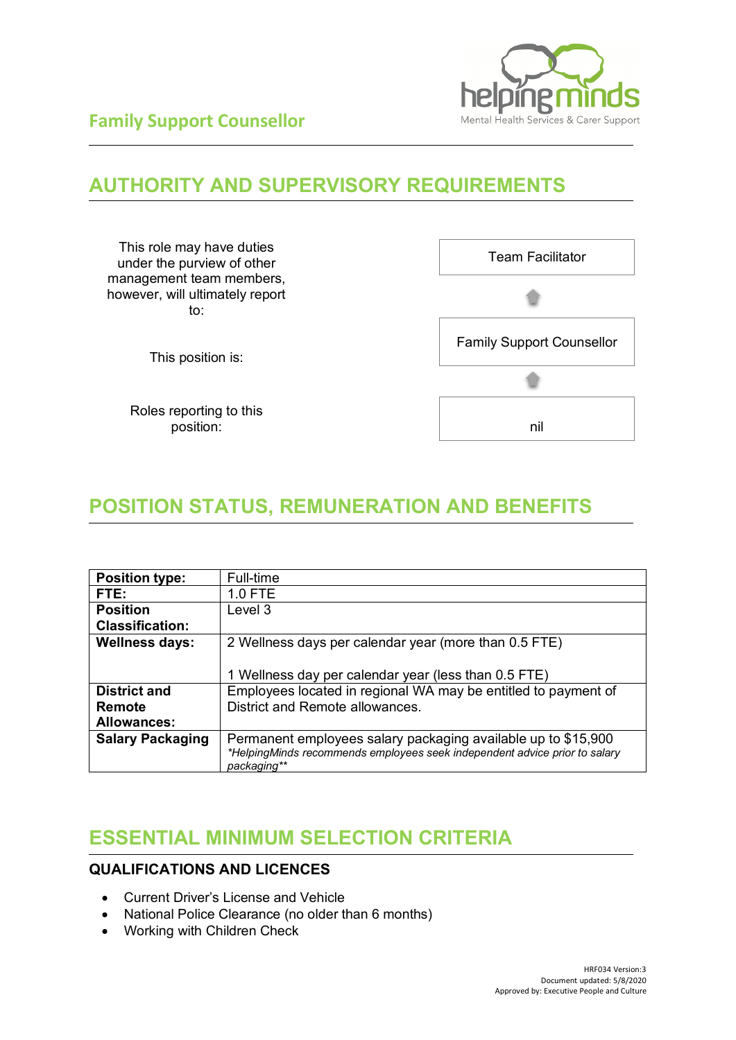

## **AUTHORITY AND SUPERVISORY REQUIREMENTS**



## **POSITION STATUS, REMUNERATION AND BENEFITS**

| <b>Position type:</b>   | Full-time                                                                                 |  |  |
|-------------------------|-------------------------------------------------------------------------------------------|--|--|
| FTE:                    | 1.0 FTE                                                                                   |  |  |
| <b>Position</b>         | Level 3                                                                                   |  |  |
| <b>Classification:</b>  |                                                                                           |  |  |
| <b>Wellness days:</b>   | 2 Wellness days per calendar year (more than 0.5 FTE)                                     |  |  |
|                         |                                                                                           |  |  |
|                         | 1 Wellness day per calendar year (less than 0.5 FTE)                                      |  |  |
| <b>District and</b>     | Employees located in regional WA may be entitled to payment of                            |  |  |
| Remote                  | District and Remote allowances.                                                           |  |  |
| <b>Allowances:</b>      |                                                                                           |  |  |
| <b>Salary Packaging</b> | Permanent employees salary packaging available up to \$15,900                             |  |  |
|                         | *HelpingMinds recommends employees seek independent advice prior to salary<br>packaging** |  |  |

## **ESSENTIAL MINIMUM SELECTION CRITERIA**

### **QUALIFICATIONS AND LICENCES**

- Current Driver's License and Vehicle
- National Police Clearance (no older than 6 months)
- Working with Children Check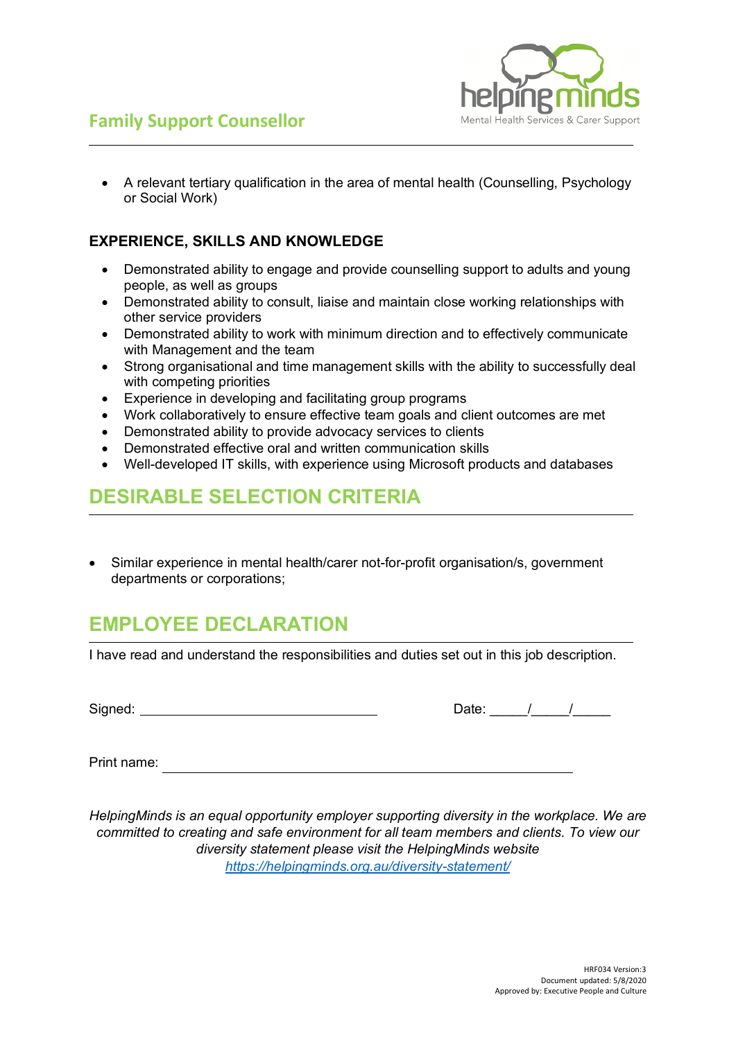



• A relevant tertiary qualification in the area of mental health (Counselling, Psychology or Social Work)

#### **EXPERIENCE, SKILLS AND KNOWLEDGE**

- Demonstrated ability to engage and provide counselling support to adults and young people, as well as groups
- Demonstrated ability to consult, liaise and maintain close working relationships with other service providers
- Demonstrated ability to work with minimum direction and to effectively communicate with Management and the team
- Strong organisational and time management skills with the ability to successfully deal with competing priorities
- Experience in developing and facilitating group programs
- Work collaboratively to ensure effective team goals and client outcomes are met
- Demonstrated ability to provide advocacy services to clients
- Demonstrated effective oral and written communication skills
- Well-developed IT skills, with experience using Microsoft products and databases

### **DESIRABLE SELECTION CRITERIA**

• Similar experience in mental health/carer not-for-profit organisation/s, government departments or corporations;

## **EMPLOYEE DECLARATION**

I have read and understand the responsibilities and duties set out in this job description.

Signed: Date: \_\_\_\_\_/\_\_\_\_\_/\_\_\_\_\_

| $-110$ |  |  |
|--------|--|--|
|        |  |  |

Print name:

*HelpingMinds is an equal opportunity employer supporting diversity in the workplace. We are committed to creating and safe environment for all team members and clients. To view our diversity statement please visit the HelpingMinds website <https://helpingminds.org.au/diversity-statement/>*